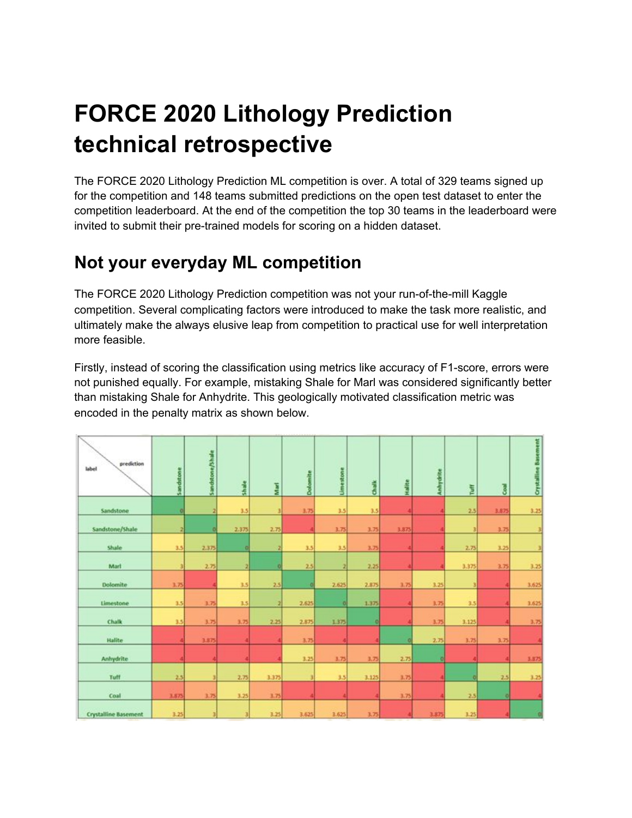# **FORCE 2020 Lithology Prediction technical retrospective**

The FORCE 2020 Lithology Prediction ML competition is over. A total of 329 teams signed up for the competition and 148 teams submitted predictions on the open test dataset to enter the competition leaderboard. At the end of the competition the top 30 teams in the leaderboard were invited to submit their pre-trained models for scoring on a hidden dataset.

## **Not your everyday ML competition**

The FORCE 2020 Lithology Prediction competition was not your run-of-the-mill Kaggle competition. Several complicating factors were introduced to make the task more realistic, and ultimately make the always elusive leap from competition to practical use for well interpretation more feasible.

Firstly, instead of scoring the classification using metrics like accuracy of F1-score, errors were not punished equally. For example, mistaking Shale for Marl was considered significantly better than mistaking Shale for Anhydrite. This geologically motivated classification metric was encoded in the penalty matrix as shown below.

| prediction<br>label         | Sandstone | Sandstone/Shale | Shake | Mari  | Dolomite | <b>Umestone</b> | <b>Chaik</b> | Hallte | Anhydrite | Tuff  | Gal   | <b>Crystalline Basement</b> |
|-----------------------------|-----------|-----------------|-------|-------|----------|-----------------|--------------|--------|-----------|-------|-------|-----------------------------|
| Sandstone                   | o         | 2               | 3.5   |       | 3.75     | 3.5             | 3.5          |        |           | 2.5   | 3.875 | 3.25                        |
| Sandstone/Shale             |           | ۵               | 2.375 | 2.75  |          | 3.75            | 3.75         | 3.875  |           |       | 3.75  |                             |
| Shale                       | 3.5       | 2.375           | ø     |       | 3.5      | 3.5             | 3.75         |        |           | 2.75  | 3.25  |                             |
| Mart                        |           | 2.75            | a     | o     | 2.5      | a               | 2.25         |        |           | 3.375 | 3.75  | 3.25                        |
| Dolomite                    | 3.75      |                 | 3.5   | 2.5   |          | 2.625           | 2.875        | 3.75   | 3.25      |       |       | 3.625                       |
| Limestone                   | 3.5       | 3.75            | 3.5   |       | 2.625    | o               | 1.375        |        | 3.75      | 3.5   |       | 3.625                       |
| Chalk                       | 3.5       | 3.75            | 3.75  | 2.25  | 2.875    | 1.375           | n            |        | 3.75      | 3.125 |       | 3.75                        |
| Halite                      |           | 3.875           |       |       | 3.75     |                 |              |        | 2.75      | 3.75  | 3.75  |                             |
| Anhydrite                   |           |                 |       |       | 3.25     | 3,75            | 3.75         | 2.75   | п         |       |       | 3.875                       |
| Tuff                        | 2.5       |                 | 2.75  | 3.375 | ×        | 3.5             | 3.125        | 3.75   |           | п     | 2.5   | 3.25                        |
| Coal                        | 3.875     | 3.75            | 3.25  | 3.75  |          |                 |              | 3.75   |           | 2.5   | o     |                             |
| <b>Crystalline Basement</b> | 3.25      |                 |       | 3.25  | 3.625    | 3.625           | 3.75         |        | 3.875     | 3.25  |       |                             |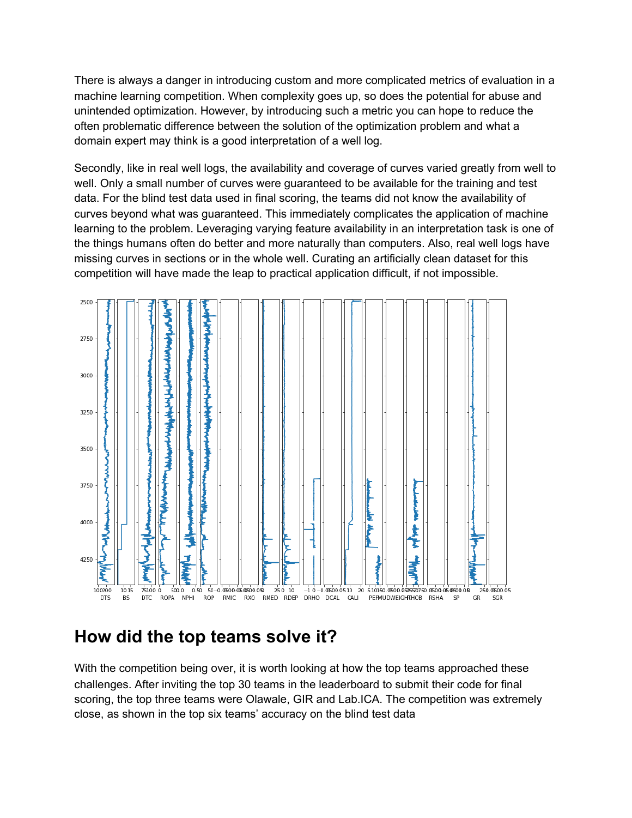There is always a danger in introducing custom and more complicated metrics of evaluation in a machine learning competition. When complexity goes up, so does the potential for abuse and unintended optimization. However, by introducing such a metric you can hope to reduce the often problematic difference between the solution of the optimization problem and what a domain expert may think is a good interpretation of a well log.

Secondly, like in real well logs, the availability and coverage of curves varied greatly from well to well. Only a small number of curves were guaranteed to be available for the training and test data. For the blind test data used in final scoring, the teams did not know the availability of curves beyond what was guaranteed. This immediately complicates the application of machine learning to the problem. Leveraging varying feature availability in an interpretation task is one of the things humans often do better and more naturally than computers. Also, real well logs have missing curves in sections or in the whole well. Curating an artificially clean dataset for this competition will have made the leap to practical application difficult, if not impossible.



## **How did the top teams solve it?**

With the competition being over, it is worth looking at how the top teams approached these challenges. After inviting the top 30 teams in the leaderboard to submit their code for final scoring, the top three teams were Olawale, GIR and Lab.ICA. The competition was extremely close, as shown in the top six teams' accuracy on the blind test data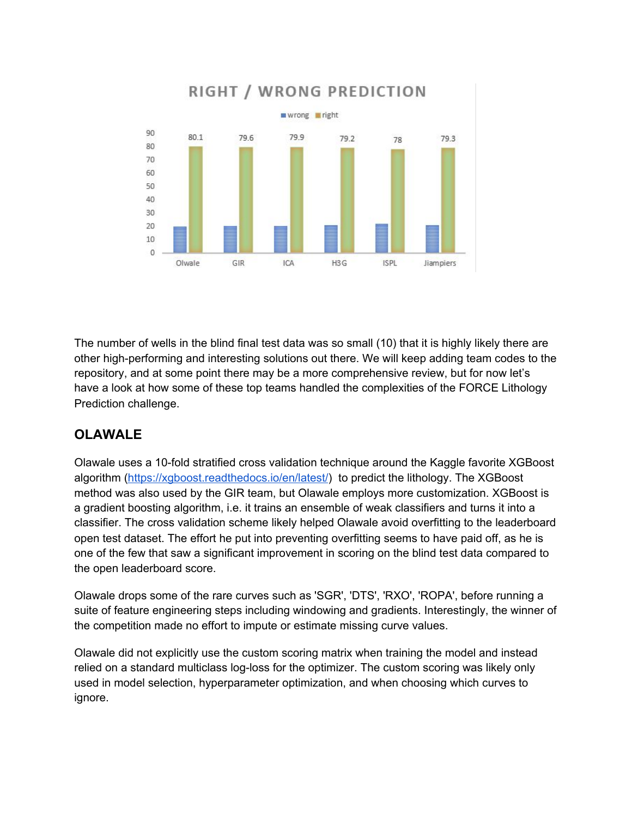

The number of wells in the blind final test data was so small (10) that it is highly likely there are other high-performing and interesting solutions out there. We will keep adding team codes to the repository, and at some point there may be a more comprehensive review, but for now let's have a look at how some of these top teams handled the complexities of the FORCE Lithology Prediction challenge.

## **OLAWALE**

Olawale uses a 10-fold stratified cross validation technique around the Kaggle favorite XGBoost algorithm (<https://xgboost.readthedocs.io/en/latest/>) to predict the lithology. The XGBoost method was also used by the GIR team, but Olawale employs more customization. XGBoost is a gradient boosting algorithm, i.e. it trains an ensemble of weak classifiers and turns it into a classifier. The cross validation scheme likely helped Olawale avoid overfitting to the leaderboard open test dataset. The effort he put into preventing overfitting seems to have paid off, as he is one of the few that saw a significant improvement in scoring on the blind test data compared to the open leaderboard score.

Olawale drops some of the rare curves such as 'SGR', 'DTS', 'RXO', 'ROPA', before running a suite of feature engineering steps including windowing and gradients. Interestingly, the winner of the competition made no effort to impute or estimate missing curve values.

Olawale did not explicitly use the custom scoring matrix when training the model and instead relied on a standard multiclass log-loss for the optimizer. The custom scoring was likely only used in model selection, hyperparameter optimization, and when choosing which curves to ignore.